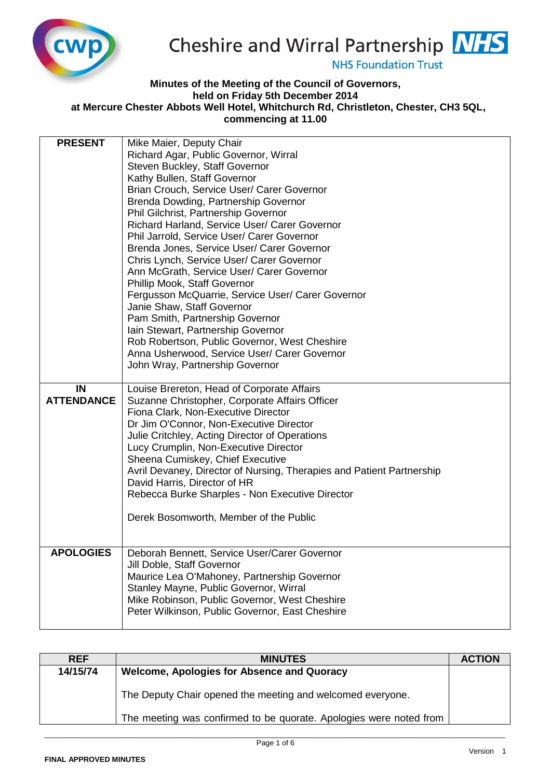

## Cheshire and Wirral Partnership NHS

**NHS Foundation Trust** 

## **Minutes of the Meeting of the Council of Governors, held on Friday 5th December 2014 at Mercure Chester Abbots Well Hotel, Whitchurch Rd, Christleton, Chester, CH3 5QL,**

**commencing at 11.00** 

| <b>PRESENT</b>    | Mike Maier, Deputy Chair                                                                |
|-------------------|-----------------------------------------------------------------------------------------|
|                   | Richard Agar, Public Governor, Wirral                                                   |
|                   | Steven Buckley, Staff Governor                                                          |
|                   | Kathy Bullen, Staff Governor                                                            |
|                   | Brian Crouch, Service User/ Carer Governor                                              |
|                   | Brenda Dowding, Partnership Governor                                                    |
|                   | Phil Gilchrist, Partnership Governor                                                    |
|                   | Richard Harland, Service User/ Carer Governor                                           |
|                   | Phil Jarrold, Service User/ Carer Governor                                              |
|                   | Brenda Jones, Service User/ Carer Governor                                              |
|                   | Chris Lynch, Service User/ Carer Governor                                               |
|                   | Ann McGrath, Service User/ Carer Governor                                               |
|                   | Phillip Mook, Staff Governor                                                            |
|                   | Fergusson McQuarrie, Service User/ Carer Governor                                       |
|                   | Janie Shaw, Staff Governor                                                              |
|                   | Pam Smith, Partnership Governor                                                         |
|                   | Iain Stewart, Partnership Governor                                                      |
|                   | Rob Robertson, Public Governor, West Cheshire                                           |
|                   | Anna Usherwood, Service User/ Carer Governor                                            |
|                   | John Wray, Partnership Governor                                                         |
|                   |                                                                                         |
| IN                | Louise Brereton, Head of Corporate Affairs                                              |
| <b>ATTENDANCE</b> | Suzanne Christopher, Corporate Affairs Officer                                          |
|                   | Fiona Clark, Non-Executive Director                                                     |
|                   | Dr Jim O'Connor, Non-Executive Director                                                 |
|                   |                                                                                         |
|                   | Julie Critchley, Acting Director of Operations                                          |
|                   | Lucy Crumplin, Non-Executive Director                                                   |
|                   | Sheena Cumiskey, Chief Executive                                                        |
|                   | Avril Devaney, Director of Nursing, Therapies and Patient Partnership                   |
|                   | David Harris, Director of HR                                                            |
|                   | Rebecca Burke Sharples - Non Executive Director                                         |
|                   |                                                                                         |
|                   | Derek Bosomworth, Member of the Public                                                  |
|                   |                                                                                         |
|                   |                                                                                         |
| <b>APOLOGIES</b>  | Deborah Bennett, Service User/Carer Governor                                            |
|                   | Jill Doble, Staff Governor                                                              |
|                   | Maurice Lea O'Mahoney, Partnership Governor                                             |
|                   | Stanley Mayne, Public Governor, Wirral<br>Mike Robinson, Public Governor, West Cheshire |
|                   | Peter Wilkinson, Public Governor, East Cheshire                                         |

| <b>REF</b> | <b>MINUTES</b>                                                     | <b>ACTION</b> |
|------------|--------------------------------------------------------------------|---------------|
| 14/15/74   | <b>Welcome, Apologies for Absence and Quoracy</b>                  |               |
|            | The Deputy Chair opened the meeting and welcomed everyone.         |               |
|            | The meeting was confirmed to be quorate. Apologies were noted from |               |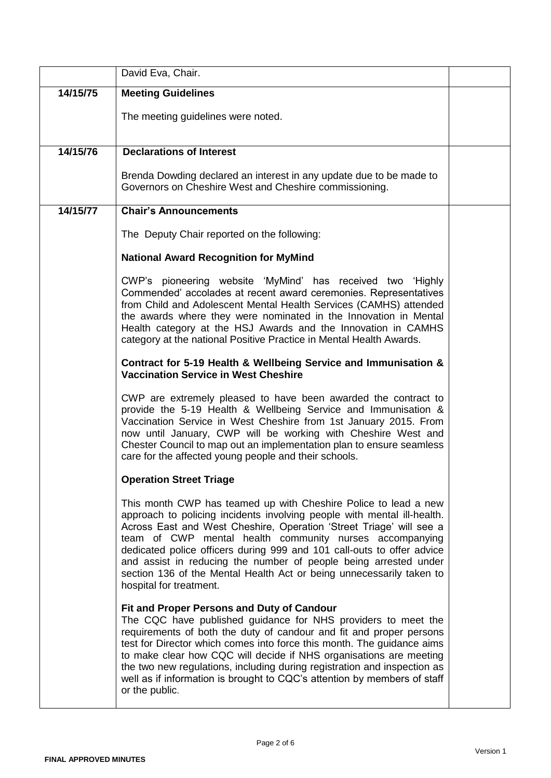|          | David Eva, Chair.                                                                                                                                                                                                                                                                                                                                                                                                                                                                                                             |  |
|----------|-------------------------------------------------------------------------------------------------------------------------------------------------------------------------------------------------------------------------------------------------------------------------------------------------------------------------------------------------------------------------------------------------------------------------------------------------------------------------------------------------------------------------------|--|
| 14/15/75 | <b>Meeting Guidelines</b>                                                                                                                                                                                                                                                                                                                                                                                                                                                                                                     |  |
|          | The meeting guidelines were noted.                                                                                                                                                                                                                                                                                                                                                                                                                                                                                            |  |
| 14/15/76 | <b>Declarations of Interest</b>                                                                                                                                                                                                                                                                                                                                                                                                                                                                                               |  |
|          | Brenda Dowding declared an interest in any update due to be made to<br>Governors on Cheshire West and Cheshire commissioning.                                                                                                                                                                                                                                                                                                                                                                                                 |  |
| 14/15/77 | <b>Chair's Announcements</b>                                                                                                                                                                                                                                                                                                                                                                                                                                                                                                  |  |
|          | The Deputy Chair reported on the following:                                                                                                                                                                                                                                                                                                                                                                                                                                                                                   |  |
|          | <b>National Award Recognition for MyMind</b>                                                                                                                                                                                                                                                                                                                                                                                                                                                                                  |  |
|          | CWP's pioneering website 'MyMind' has received two 'Highly<br>Commended' accolades at recent award ceremonies. Representatives<br>from Child and Adolescent Mental Health Services (CAMHS) attended<br>the awards where they were nominated in the Innovation in Mental<br>Health category at the HSJ Awards and the Innovation in CAMHS<br>category at the national Positive Practice in Mental Health Awards.                                                                                                               |  |
|          | Contract for 5-19 Health & Wellbeing Service and Immunisation &<br><b>Vaccination Service in West Cheshire</b>                                                                                                                                                                                                                                                                                                                                                                                                                |  |
|          | CWP are extremely pleased to have been awarded the contract to<br>provide the 5-19 Health & Wellbeing Service and Immunisation &<br>Vaccination Service in West Cheshire from 1st January 2015. From<br>now until January, CWP will be working with Cheshire West and<br>Chester Council to map out an implementation plan to ensure seamless<br>care for the affected young people and their schools.                                                                                                                        |  |
|          | <b>Operation Street Triage</b>                                                                                                                                                                                                                                                                                                                                                                                                                                                                                                |  |
|          | This month CWP has teamed up with Cheshire Police to lead a new<br>approach to policing incidents involving people with mental ill-health.<br>Across East and West Cheshire, Operation 'Street Triage' will see a<br>team of CWP mental health community nurses accompanying<br>dedicated police officers during 999 and 101 call-outs to offer advice<br>and assist in reducing the number of people being arrested under<br>section 136 of the Mental Health Act or being unnecessarily taken to<br>hospital for treatment. |  |
|          | Fit and Proper Persons and Duty of Candour<br>The CQC have published guidance for NHS providers to meet the<br>requirements of both the duty of candour and fit and proper persons<br>test for Director which comes into force this month. The guidance aims<br>to make clear how CQC will decide if NHS organisations are meeting<br>the two new regulations, including during registration and inspection as<br>well as if information is brought to CQC's attention by members of staff<br>or the public.                  |  |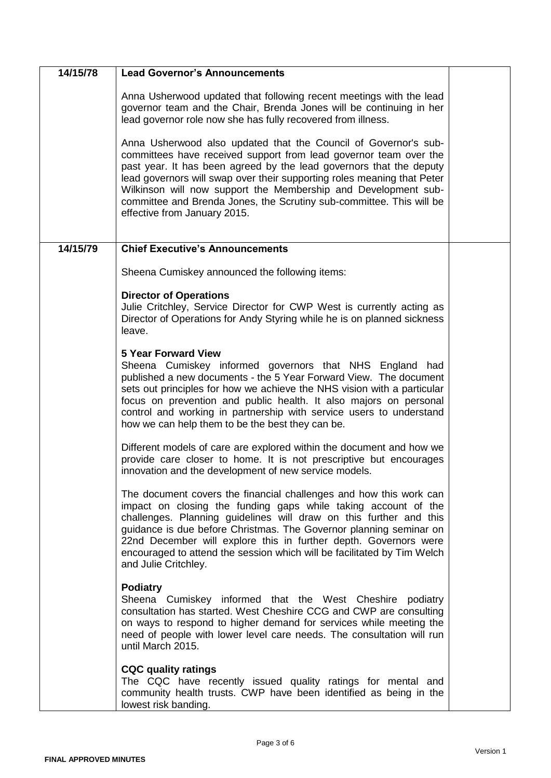| 14/15/78 | <b>Lead Governor's Announcements</b>                                                                                                                                                                                                                                                                                                                                                                                                                             |  |
|----------|------------------------------------------------------------------------------------------------------------------------------------------------------------------------------------------------------------------------------------------------------------------------------------------------------------------------------------------------------------------------------------------------------------------------------------------------------------------|--|
|          | Anna Usherwood updated that following recent meetings with the lead<br>governor team and the Chair, Brenda Jones will be continuing in her<br>lead governor role now she has fully recovered from illness.                                                                                                                                                                                                                                                       |  |
|          | Anna Usherwood also updated that the Council of Governor's sub-<br>committees have received support from lead governor team over the<br>past year. It has been agreed by the lead governors that the deputy<br>lead governors will swap over their supporting roles meaning that Peter<br>Wilkinson will now support the Membership and Development sub-<br>committee and Brenda Jones, the Scrutiny sub-committee. This will be<br>effective from January 2015. |  |
| 14/15/79 | <b>Chief Executive's Announcements</b>                                                                                                                                                                                                                                                                                                                                                                                                                           |  |
|          | Sheena Cumiskey announced the following items:                                                                                                                                                                                                                                                                                                                                                                                                                   |  |
|          | <b>Director of Operations</b><br>Julie Critchley, Service Director for CWP West is currently acting as<br>Director of Operations for Andy Styring while he is on planned sickness<br>leave.                                                                                                                                                                                                                                                                      |  |
|          | <b>5 Year Forward View</b><br>Sheena Cumiskey informed governors that NHS England had<br>published a new documents - the 5 Year Forward View. The document<br>sets out principles for how we achieve the NHS vision with a particular<br>focus on prevention and public health. It also majors on personal<br>control and working in partnership with service users to understand<br>how we can help them to be the best they can be.                            |  |
|          | Different models of care are explored within the document and how we<br>provide care closer to home. It is not prescriptive but encourages<br>innovation and the development of new service models.                                                                                                                                                                                                                                                              |  |
|          | The document covers the financial challenges and how this work can<br>impact on closing the funding gaps while taking account of the<br>challenges. Planning guidelines will draw on this further and this<br>guidance is due before Christmas. The Governor planning seminar on<br>22nd December will explore this in further depth. Governors were<br>encouraged to attend the session which will be facilitated by Tim Welch<br>and Julie Critchley.          |  |
|          | <b>Podiatry</b><br>Sheena Cumiskey informed that the West Cheshire podiatry<br>consultation has started. West Cheshire CCG and CWP are consulting<br>on ways to respond to higher demand for services while meeting the<br>need of people with lower level care needs. The consultation will run<br>until March 2015.                                                                                                                                            |  |
|          | <b>CQC quality ratings</b><br>The CQC have recently issued quality ratings for mental and<br>community health trusts. CWP have been identified as being in the<br>lowest risk banding.                                                                                                                                                                                                                                                                           |  |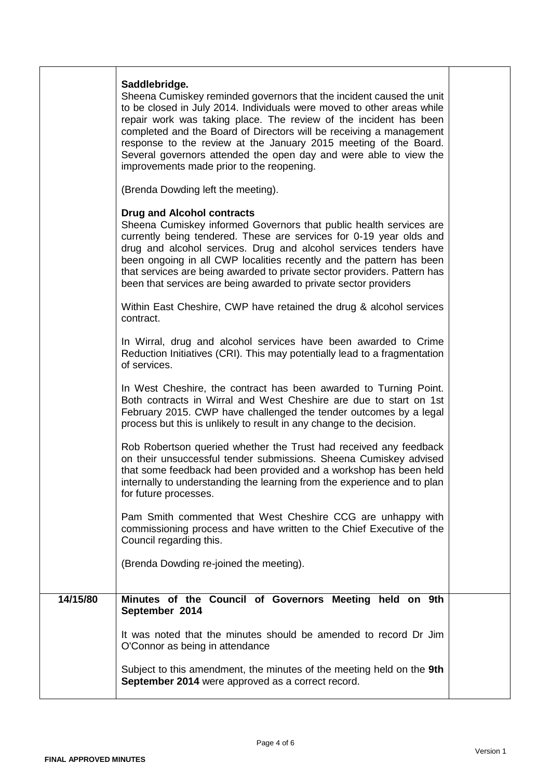|          | Saddlebridge.<br>Sheena Cumiskey reminded governors that the incident caused the unit<br>to be closed in July 2014. Individuals were moved to other areas while<br>repair work was taking place. The review of the incident has been<br>completed and the Board of Directors will be receiving a management<br>response to the review at the January 2015 meeting of the Board.<br>Several governors attended the open day and were able to view the<br>improvements made prior to the reopening. |  |
|----------|---------------------------------------------------------------------------------------------------------------------------------------------------------------------------------------------------------------------------------------------------------------------------------------------------------------------------------------------------------------------------------------------------------------------------------------------------------------------------------------------------|--|
|          | (Brenda Dowding left the meeting).                                                                                                                                                                                                                                                                                                                                                                                                                                                                |  |
|          | <b>Drug and Alcohol contracts</b><br>Sheena Cumiskey informed Governors that public health services are<br>currently being tendered. These are services for 0-19 year olds and<br>drug and alcohol services. Drug and alcohol services tenders have<br>been ongoing in all CWP localities recently and the pattern has been<br>that services are being awarded to private sector providers. Pattern has<br>been that services are being awarded to private sector providers                       |  |
|          | Within East Cheshire, CWP have retained the drug & alcohol services<br>contract.                                                                                                                                                                                                                                                                                                                                                                                                                  |  |
|          | In Wirral, drug and alcohol services have been awarded to Crime<br>Reduction Initiatives (CRI). This may potentially lead to a fragmentation<br>of services.                                                                                                                                                                                                                                                                                                                                      |  |
|          | In West Cheshire, the contract has been awarded to Turning Point.<br>Both contracts in Wirral and West Cheshire are due to start on 1st<br>February 2015. CWP have challenged the tender outcomes by a legal<br>process but this is unlikely to result in any change to the decision.                                                                                                                                                                                                             |  |
|          | Rob Robertson queried whether the Trust had received any feedback<br>on their unsuccessful tender submissions. Sheena Cumiskey advised<br>that some feedback had been provided and a workshop has been held<br>internally to understanding the learning from the experience and to plan<br>for future processes.                                                                                                                                                                                  |  |
|          | Pam Smith commented that West Cheshire CCG are unhappy with<br>commissioning process and have written to the Chief Executive of the<br>Council regarding this.                                                                                                                                                                                                                                                                                                                                    |  |
|          | (Brenda Dowding re-joined the meeting).                                                                                                                                                                                                                                                                                                                                                                                                                                                           |  |
| 14/15/80 | Minutes of the Council of Governors Meeting held on 9th<br>September 2014                                                                                                                                                                                                                                                                                                                                                                                                                         |  |
|          | It was noted that the minutes should be amended to record Dr Jim<br>O'Connor as being in attendance                                                                                                                                                                                                                                                                                                                                                                                               |  |
|          | Subject to this amendment, the minutes of the meeting held on the 9th<br>September 2014 were approved as a correct record.                                                                                                                                                                                                                                                                                                                                                                        |  |
|          |                                                                                                                                                                                                                                                                                                                                                                                                                                                                                                   |  |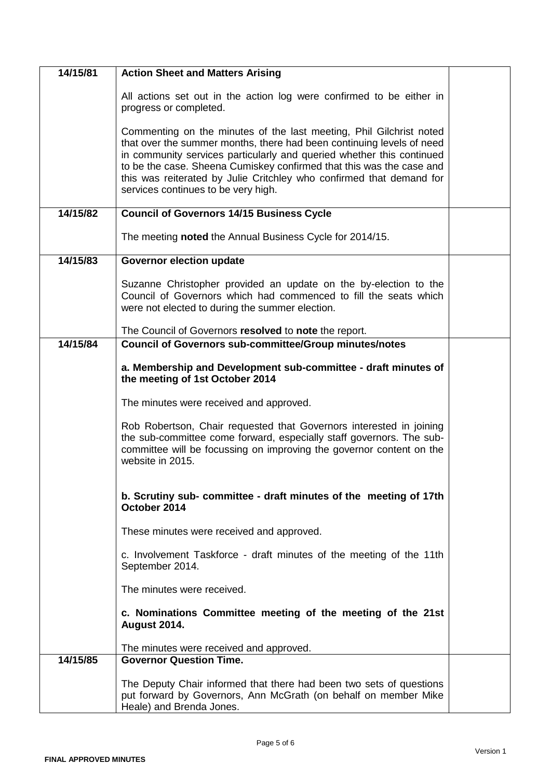| 14/15/81 | <b>Action Sheet and Matters Arising</b>                                                                                                                                                                                                                                                                                                                                                                      |  |
|----------|--------------------------------------------------------------------------------------------------------------------------------------------------------------------------------------------------------------------------------------------------------------------------------------------------------------------------------------------------------------------------------------------------------------|--|
|          | All actions set out in the action log were confirmed to be either in<br>progress or completed.                                                                                                                                                                                                                                                                                                               |  |
|          | Commenting on the minutes of the last meeting, Phil Gilchrist noted<br>that over the summer months, there had been continuing levels of need<br>in community services particularly and queried whether this continued<br>to be the case. Sheena Cumiskey confirmed that this was the case and<br>this was reiterated by Julie Critchley who confirmed that demand for<br>services continues to be very high. |  |
| 14/15/82 | <b>Council of Governors 14/15 Business Cycle</b>                                                                                                                                                                                                                                                                                                                                                             |  |
|          | The meeting noted the Annual Business Cycle for 2014/15.                                                                                                                                                                                                                                                                                                                                                     |  |
| 14/15/83 | <b>Governor election update</b>                                                                                                                                                                                                                                                                                                                                                                              |  |
|          | Suzanne Christopher provided an update on the by-election to the<br>Council of Governors which had commenced to fill the seats which<br>were not elected to during the summer election.                                                                                                                                                                                                                      |  |
|          | The Council of Governors resolved to note the report.                                                                                                                                                                                                                                                                                                                                                        |  |
| 14/15/84 | <b>Council of Governors sub-committee/Group minutes/notes</b>                                                                                                                                                                                                                                                                                                                                                |  |
|          | a. Membership and Development sub-committee - draft minutes of<br>the meeting of 1st October 2014                                                                                                                                                                                                                                                                                                            |  |
|          | The minutes were received and approved.                                                                                                                                                                                                                                                                                                                                                                      |  |
|          | Rob Robertson, Chair requested that Governors interested in joining<br>the sub-committee come forward, especially staff governors. The sub-<br>committee will be focussing on improving the governor content on the<br>website in 2015.                                                                                                                                                                      |  |
|          | b. Scrutiny sub- committee - draft minutes of the meeting of 17th<br>October 2014                                                                                                                                                                                                                                                                                                                            |  |
|          | These minutes were received and approved.                                                                                                                                                                                                                                                                                                                                                                    |  |
|          | c. Involvement Taskforce - draft minutes of the meeting of the 11th<br>September 2014.                                                                                                                                                                                                                                                                                                                       |  |
|          | The minutes were received.                                                                                                                                                                                                                                                                                                                                                                                   |  |
|          | c. Nominations Committee meeting of the meeting of the 21st<br><b>August 2014.</b>                                                                                                                                                                                                                                                                                                                           |  |
|          | The minutes were received and approved.                                                                                                                                                                                                                                                                                                                                                                      |  |
| 14/15/85 | <b>Governor Question Time.</b>                                                                                                                                                                                                                                                                                                                                                                               |  |
|          | The Deputy Chair informed that there had been two sets of questions<br>put forward by Governors, Ann McGrath (on behalf on member Mike<br>Heale) and Brenda Jones.                                                                                                                                                                                                                                           |  |